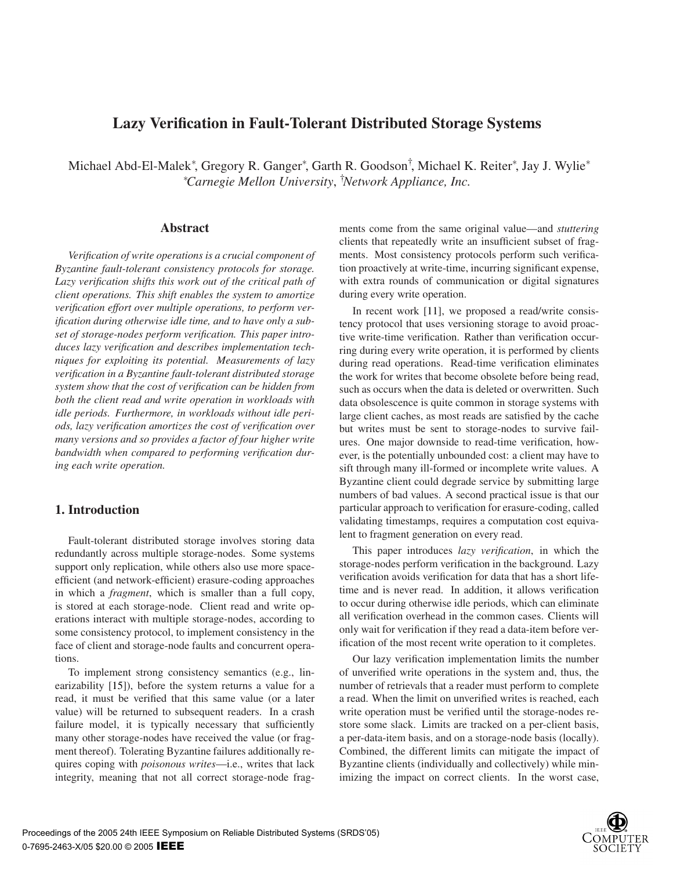# **Lazy Verification in Fault-Tolerant Distributed Storage Systems**

Michael Abd-El-Malek\*, Gregory R. Ganger\*, Garth R. Goodson<sup>†</sup>, Michael K. Reiter\*, Jay J. Wylie\* ∗ *Carnegie Mellon University*, † *Network Appliance, Inc.*

# **Abstract**

*Verification of write operations is a crucial component of Byzantine fault-tolerant consistency protocols for storage. Lazy verification shifts this work out of the critical path of client operations. This shift enables the system to amortize verification effort over multiple operations, to perform verification during otherwise idle time, and to have only a subset of storage-nodes perform verification. This paper introduces lazy verification and describes implementation techniques for exploiting its potential. Measurements of lazy verification in a Byzantine fault-tolerant distributed storage system show that the cost of verification can be hidden from both the client read and write operation in workloads with idle periods. Furthermore, in workloads without idle periods, lazy verification amortizes the cost of verification over many versions and so provides a factor of four higher write bandwidth when compared to performing verification during each write operation.*

# **1. Introduction**

Fault-tolerant distributed storage involves storing data redundantly across multiple storage-nodes. Some systems support only replication, while others also use more spaceefficient (and network-efficient) erasure-coding approaches in which a *fragment*, which is smaller than a full copy, is stored at each storage-node. Client read and write operations interact with multiple storage-nodes, according to some consistency protocol, to implement consistency in the face of client and storage-node faults and concurrent operations.

To implement strong consistency semantics (e.g., linearizability [15]), before the system returns a value for a read, it must be verified that this same value (or a later value) will be returned to subsequent readers. In a crash failure model, it is typically necessary that sufficiently many other storage-nodes have received the value (or fragment thereof). Tolerating Byzantine failures additionally requires coping with *poisonous writes*—i.e., writes that lack integrity, meaning that not all correct storage-node fragments come from the same original value—and *stuttering* clients that repeatedly write an insufficient subset of fragments. Most consistency protocols perform such verification proactively at write-time, incurring significant expense, with extra rounds of communication or digital signatures during every write operation.

In recent work [11], we proposed a read/write consistency protocol that uses versioning storage to avoid proactive write-time verification. Rather than verification occurring during every write operation, it is performed by clients during read operations. Read-time verification eliminates the work for writes that become obsolete before being read, such as occurs when the data is deleted or overwritten. Such data obsolescence is quite common in storage systems with large client caches, as most reads are satisfied by the cache but writes must be sent to storage-nodes to survive failures. One major downside to read-time verification, however, is the potentially unbounded cost: a client may have to sift through many ill-formed or incomplete write values. A Byzantine client could degrade service by submitting large numbers of bad values. A second practical issue is that our particular approach to verification for erasure-coding, called validating timestamps, requires a computation cost equivalent to fragment generation on every read.

This paper introduces *lazy verification*, in which the storage-nodes perform verification in the background. Lazy verification avoids verification for data that has a short lifetime and is never read. In addition, it allows verification to occur during otherwise idle periods, which can eliminate all verification overhead in the common cases. Clients will only wait for verification if they read a data-item before verification of the most recent write operation to it completes.

Our lazy verification implementation limits the number of unverified write operations in the system and, thus, the number of retrievals that a reader must perform to complete a read. When the limit on unverified writes is reached, each write operation must be verified until the storage-nodes restore some slack. Limits are tracked on a per-client basis, a per-data-item basis, and on a storage-node basis (locally). Combined, the different limits can mitigate the impact of Byzantine clients (individually and collectively) while minimizing the impact on correct clients. In the worst case,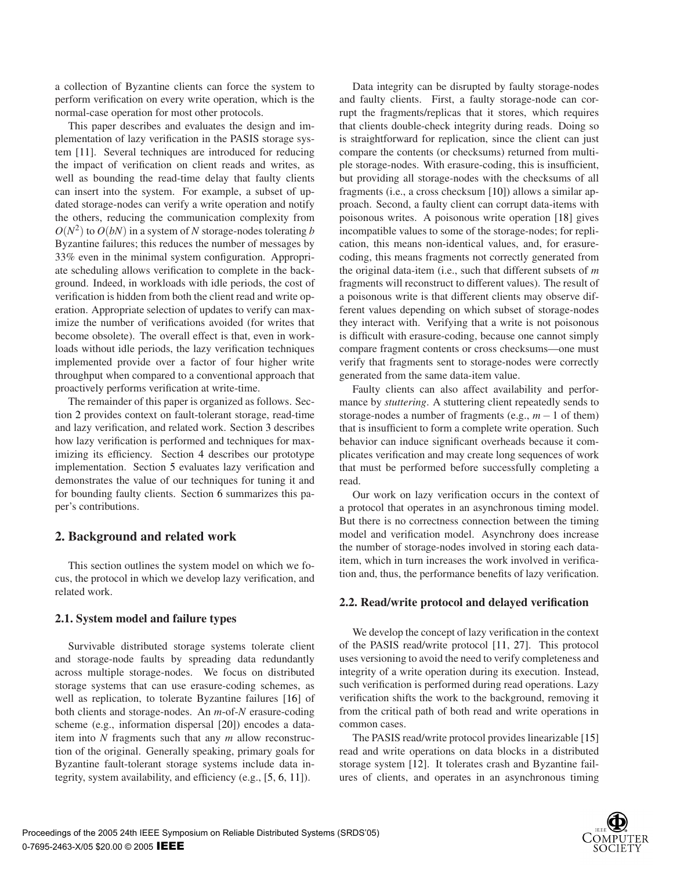a collection of Byzantine clients can force the system to perform verification on every write operation, which is the normal-case operation for most other protocols.

This paper describes and evaluates the design and implementation of lazy verification in the PASIS storage system [11]. Several techniques are introduced for reducing the impact of verification on client reads and writes, as well as bounding the read-time delay that faulty clients can insert into the system. For example, a subset of updated storage-nodes can verify a write operation and notify the others, reducing the communication complexity from  $O(N^2)$  to  $O(bN)$  in a system of *N* storage-nodes tolerating *b* Byzantine failures; this reduces the number of messages by 33% even in the minimal system configuration. Appropriate scheduling allows verification to complete in the background. Indeed, in workloads with idle periods, the cost of verification is hidden from both the client read and write operation. Appropriate selection of updates to verify can maximize the number of verifications avoided (for writes that become obsolete). The overall effect is that, even in workloads without idle periods, the lazy verification techniques implemented provide over a factor of four higher write throughput when compared to a conventional approach that proactively performs verification at write-time.

The remainder of this paper is organized as follows. Section 2 provides context on fault-tolerant storage, read-time and lazy verification, and related work. Section 3 describes how lazy verification is performed and techniques for maximizing its efficiency. Section 4 describes our prototype implementation. Section 5 evaluates lazy verification and demonstrates the value of our techniques for tuning it and for bounding faulty clients. Section 6 summarizes this paper's contributions.

# **2. Background and related work**

This section outlines the system model on which we focus, the protocol in which we develop lazy verification, and related work.

### **2.1. System model and failure types**

Survivable distributed storage systems tolerate client and storage-node faults by spreading data redundantly across multiple storage-nodes. We focus on distributed storage systems that can use erasure-coding schemes, as well as replication, to tolerate Byzantine failures [16] of both clients and storage-nodes. An *m*-of-*N* erasure-coding scheme (e.g., information dispersal [20]) encodes a dataitem into *N* fragments such that any *m* allow reconstruction of the original. Generally speaking, primary goals for Byzantine fault-tolerant storage systems include data integrity, system availability, and efficiency (e.g., [5, 6, 11]).

Data integrity can be disrupted by faulty storage-nodes and faulty clients. First, a faulty storage-node can corrupt the fragments/replicas that it stores, which requires that clients double-check integrity during reads. Doing so is straightforward for replication, since the client can just compare the contents (or checksums) returned from multiple storage-nodes. With erasure-coding, this is insufficient, but providing all storage-nodes with the checksums of all fragments (i.e., a cross checksum [10]) allows a similar approach. Second, a faulty client can corrupt data-items with poisonous writes. A poisonous write operation [18] gives incompatible values to some of the storage-nodes; for replication, this means non-identical values, and, for erasurecoding, this means fragments not correctly generated from the original data-item (i.e., such that different subsets of *m* fragments will reconstruct to different values). The result of a poisonous write is that different clients may observe different values depending on which subset of storage-nodes they interact with. Verifying that a write is not poisonous is difficult with erasure-coding, because one cannot simply compare fragment contents or cross checksums—one must verify that fragments sent to storage-nodes were correctly generated from the same data-item value.

Faulty clients can also affect availability and performance by *stuttering*. A stuttering client repeatedly sends to storage-nodes a number of fragments (e.g., *m*−1 of them) that is insufficient to form a complete write operation. Such behavior can induce significant overheads because it complicates verification and may create long sequences of work that must be performed before successfully completing a read.

Our work on lazy verification occurs in the context of a protocol that operates in an asynchronous timing model. But there is no correctness connection between the timing model and verification model. Asynchrony does increase the number of storage-nodes involved in storing each dataitem, which in turn increases the work involved in verification and, thus, the performance benefits of lazy verification.

#### **2.2. Read/write protocol and delayed verification**

We develop the concept of lazy verification in the context of the PASIS read/write protocol [11, 27]. This protocol uses versioning to avoid the need to verify completeness and integrity of a write operation during its execution. Instead, such verification is performed during read operations. Lazy verification shifts the work to the background, removing it from the critical path of both read and write operations in common cases.

The PASIS read/write protocol provides linearizable [15] read and write operations on data blocks in a distributed storage system [12]. It tolerates crash and Byzantine failures of clients, and operates in an asynchronous timing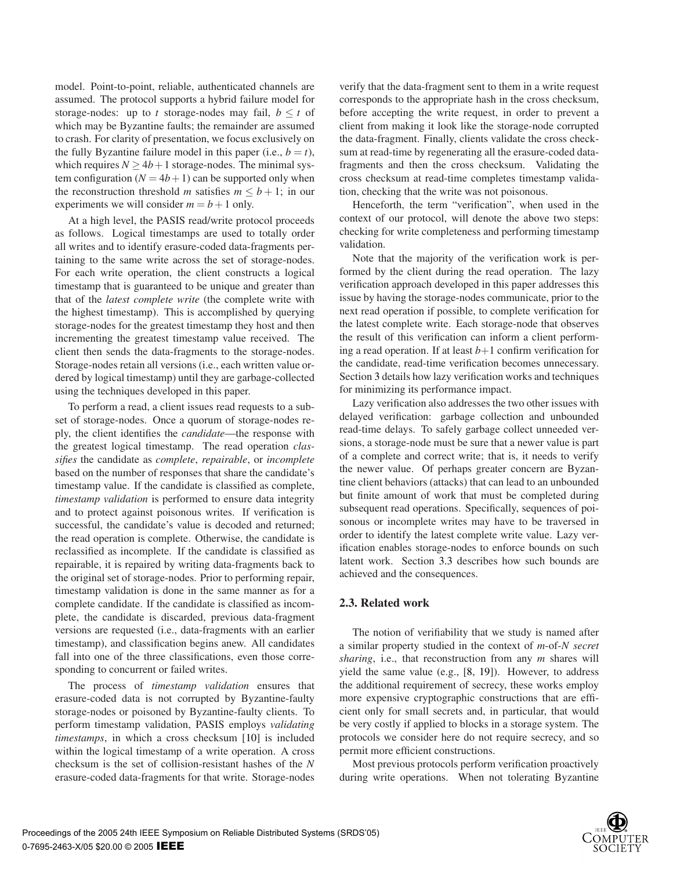model. Point-to-point, reliable, authenticated channels are assumed. The protocol supports a hybrid failure model for storage-nodes: up to *t* storage-nodes may fail,  $b \leq t$  of which may be Byzantine faults; the remainder are assumed to crash. For clarity of presentation, we focus exclusively on the fully Byzantine failure model in this paper (i.e.,  $b = t$ ), which requires  $N > 4b + 1$  storage-nodes. The minimal system configuration  $(N = 4b + 1)$  can be supported only when the reconstruction threshold *m* satisfies  $m \leq b + 1$ ; in our experiments we will consider  $m = b + 1$  only.

At a high level, the PASIS read/write protocol proceeds as follows. Logical timestamps are used to totally order all writes and to identify erasure-coded data-fragments pertaining to the same write across the set of storage-nodes. For each write operation, the client constructs a logical timestamp that is guaranteed to be unique and greater than that of the *latest complete write* (the complete write with the highest timestamp). This is accomplished by querying storage-nodes for the greatest timestamp they host and then incrementing the greatest timestamp value received. The client then sends the data-fragments to the storage-nodes. Storage-nodes retain all versions (i.e., each written value ordered by logical timestamp) until they are garbage-collected using the techniques developed in this paper.

To perform a read, a client issues read requests to a subset of storage-nodes. Once a quorum of storage-nodes reply, the client identifies the *candidate*—the response with the greatest logical timestamp. The read operation *classifies* the candidate as *complete*, *repairable*, or *incomplete* based on the number of responses that share the candidate's timestamp value. If the candidate is classified as complete, *timestamp validation* is performed to ensure data integrity and to protect against poisonous writes. If verification is successful, the candidate's value is decoded and returned; the read operation is complete. Otherwise, the candidate is reclassified as incomplete. If the candidate is classified as repairable, it is repaired by writing data-fragments back to the original set of storage-nodes. Prior to performing repair, timestamp validation is done in the same manner as for a complete candidate. If the candidate is classified as incomplete, the candidate is discarded, previous data-fragment versions are requested (i.e., data-fragments with an earlier timestamp), and classification begins anew. All candidates fall into one of the three classifications, even those corresponding to concurrent or failed writes.

The process of *timestamp validation* ensures that erasure-coded data is not corrupted by Byzantine-faulty storage-nodes or poisoned by Byzantine-faulty clients. To perform timestamp validation, PASIS employs *validating timestamps*, in which a cross checksum [10] is included within the logical timestamp of a write operation. A cross checksum is the set of collision-resistant hashes of the *N* erasure-coded data-fragments for that write. Storage-nodes

verify that the data-fragment sent to them in a write request corresponds to the appropriate hash in the cross checksum, before accepting the write request, in order to prevent a client from making it look like the storage-node corrupted the data-fragment. Finally, clients validate the cross checksum at read-time by regenerating all the erasure-coded datafragments and then the cross checksum. Validating the cross checksum at read-time completes timestamp validation, checking that the write was not poisonous.

Henceforth, the term "verification", when used in the context of our protocol, will denote the above two steps: checking for write completeness and performing timestamp validation.

Note that the majority of the verification work is performed by the client during the read operation. The lazy verification approach developed in this paper addresses this issue by having the storage-nodes communicate, prior to the next read operation if possible, to complete verification for the latest complete write. Each storage-node that observes the result of this verification can inform a client performing a read operation. If at least  $b+1$  confirm verification for the candidate, read-time verification becomes unnecessary. Section 3 details how lazy verification works and techniques for minimizing its performance impact.

Lazy verification also addresses the two other issues with delayed verification: garbage collection and unbounded read-time delays. To safely garbage collect unneeded versions, a storage-node must be sure that a newer value is part of a complete and correct write; that is, it needs to verify the newer value. Of perhaps greater concern are Byzantine client behaviors (attacks) that can lead to an unbounded but finite amount of work that must be completed during subsequent read operations. Specifically, sequences of poisonous or incomplete writes may have to be traversed in order to identify the latest complete write value. Lazy verification enables storage-nodes to enforce bounds on such latent work. Section 3.3 describes how such bounds are achieved and the consequences.

### **2.3. Related work**

The notion of verifiability that we study is named after a similar property studied in the context of *m*-of-*N secret sharing*, i.e., that reconstruction from any *m* shares will yield the same value (e.g., [8, 19]). However, to address the additional requirement of secrecy, these works employ more expensive cryptographic constructions that are efficient only for small secrets and, in particular, that would be very costly if applied to blocks in a storage system. The protocols we consider here do not require secrecy, and so permit more efficient constructions.

Most previous protocols perform verification proactively during write operations. When not tolerating Byzantine

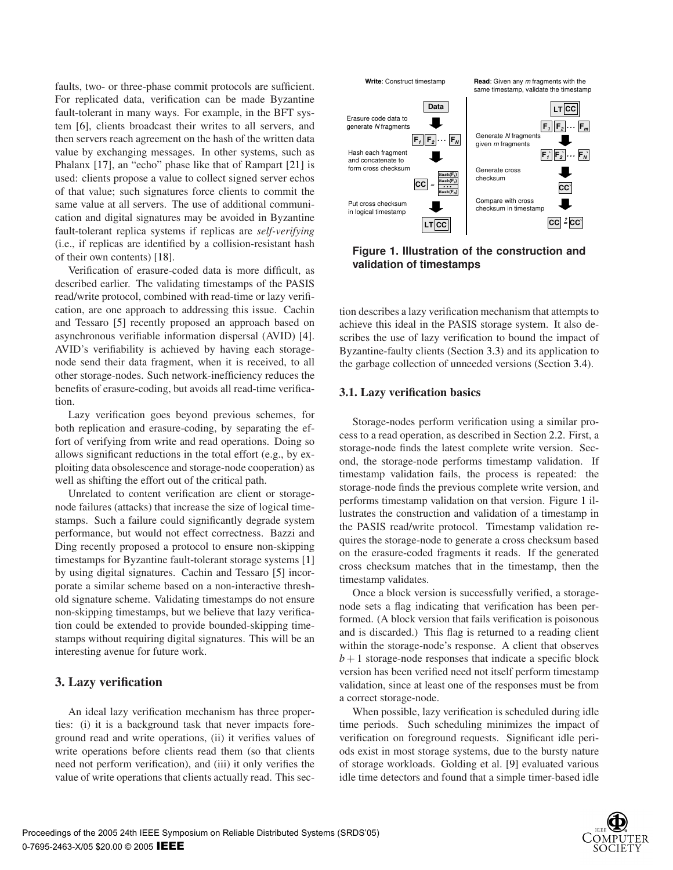faults, two- or three-phase commit protocols are sufficient. For replicated data, verification can be made Byzantine fault-tolerant in many ways. For example, in the BFT system [6], clients broadcast their writes to all servers, and then servers reach agreement on the hash of the written data value by exchanging messages. In other systems, such as Phalanx [17], an "echo" phase like that of Rampart [21] is used: clients propose a value to collect signed server echos of that value; such signatures force clients to commit the same value at all servers. The use of additional communication and digital signatures may be avoided in Byzantine fault-tolerant replica systems if replicas are *self-verifying* (i.e., if replicas are identified by a collision-resistant hash of their own contents) [18].

Verification of erasure-coded data is more difficult, as described earlier. The validating timestamps of the PASIS read/write protocol, combined with read-time or lazy verification, are one approach to addressing this issue. Cachin and Tessaro [5] recently proposed an approach based on asynchronous verifiable information dispersal (AVID) [4]. AVID's verifiability is achieved by having each storagenode send their data fragment, when it is received, to all other storage-nodes. Such network-inefficiency reduces the benefits of erasure-coding, but avoids all read-time verification.

Lazy verification goes beyond previous schemes, for both replication and erasure-coding, by separating the effort of verifying from write and read operations. Doing so allows significant reductions in the total effort (e.g., by exploiting data obsolescence and storage-node cooperation) as well as shifting the effort out of the critical path.

Unrelated to content verification are client or storagenode failures (attacks) that increase the size of logical timestamps. Such a failure could significantly degrade system performance, but would not effect correctness. Bazzi and Ding recently proposed a protocol to ensure non-skipping timestamps for Byzantine fault-tolerant storage systems [1] by using digital signatures. Cachin and Tessaro [5] incorporate a similar scheme based on a non-interactive threshold signature scheme. Validating timestamps do not ensure non-skipping timestamps, but we believe that lazy verification could be extended to provide bounded-skipping timestamps without requiring digital signatures. This will be an interesting avenue for future work.

# **3. Lazy verification**

An ideal lazy verification mechanism has three properties: (i) it is a background task that never impacts foreground read and write operations, (ii) it verifies values of write operations before clients read them (so that clients need not perform verification), and (iii) it only verifies the value of write operations that clients actually read. This sec-



**Figure 1. Illustration of the construction and validation of timestamps**

tion describes a lazy verification mechanism that attempts to achieve this ideal in the PASIS storage system. It also describes the use of lazy verification to bound the impact of Byzantine-faulty clients (Section 3.3) and its application to the garbage collection of unneeded versions (Section 3.4).

### **3.1. Lazy verification basics**

Storage-nodes perform verification using a similar process to a read operation, as described in Section 2.2. First, a storage-node finds the latest complete write version. Second, the storage-node performs timestamp validation. If timestamp validation fails, the process is repeated: the storage-node finds the previous complete write version, and performs timestamp validation on that version. Figure 1 illustrates the construction and validation of a timestamp in the PASIS read/write protocol. Timestamp validation requires the storage-node to generate a cross checksum based on the erasure-coded fragments it reads. If the generated cross checksum matches that in the timestamp, then the timestamp validates.

Once a block version is successfully verified, a storagenode sets a flag indicating that verification has been performed. (A block version that fails verification is poisonous and is discarded.) This flag is returned to a reading client within the storage-node's response. A client that observes  $b+1$  storage-node responses that indicate a specific block version has been verified need not itself perform timestamp validation, since at least one of the responses must be from a correct storage-node.

When possible, lazy verification is scheduled during idle time periods. Such scheduling minimizes the impact of verification on foreground requests. Significant idle periods exist in most storage systems, due to the bursty nature of storage workloads. Golding et al. [9] evaluated various idle time detectors and found that a simple timer-based idle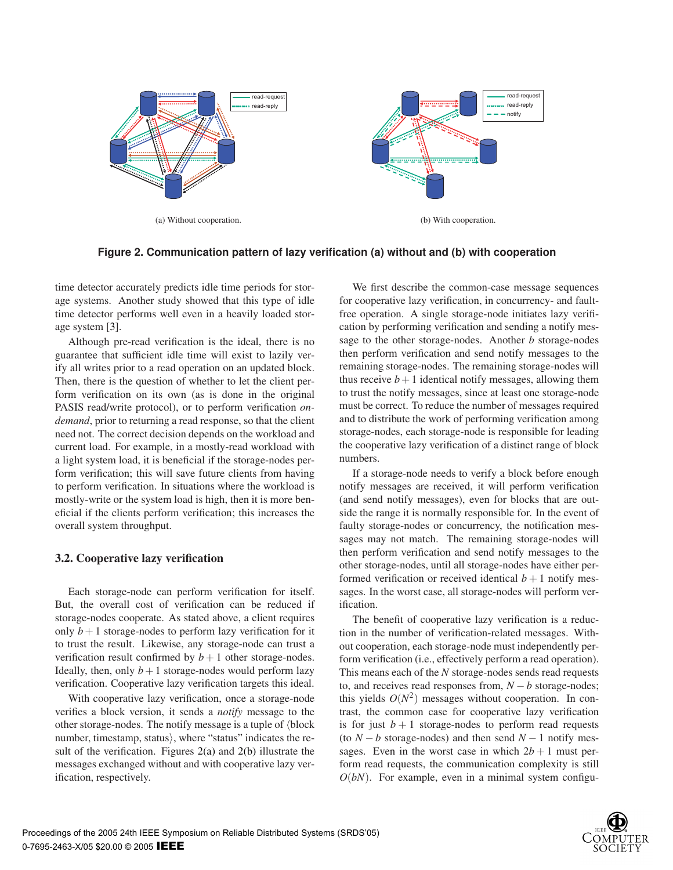

**Figure 2. Communication pattern of lazy verification (a) without and (b) with cooperation**

time detector accurately predicts idle time periods for storage systems. Another study showed that this type of idle time detector performs well even in a heavily loaded storage system [3].

Although pre-read verification is the ideal, there is no guarantee that sufficient idle time will exist to lazily verify all writes prior to a read operation on an updated block. Then, there is the question of whether to let the client perform verification on its own (as is done in the original PASIS read/write protocol), or to perform verification *ondemand*, prior to returning a read response, so that the client need not. The correct decision depends on the workload and current load. For example, in a mostly-read workload with a light system load, it is beneficial if the storage-nodes perform verification; this will save future clients from having to perform verification. In situations where the workload is mostly-write or the system load is high, then it is more beneficial if the clients perform verification; this increases the overall system throughput.

# **3.2. Cooperative lazy verification**

Each storage-node can perform verification for itself. But, the overall cost of verification can be reduced if storage-nodes cooperate. As stated above, a client requires only  $b+1$  storage-nodes to perform lazy verification for it to trust the result. Likewise, any storage-node can trust a verification result confirmed by  $b + 1$  other storage-nodes. Ideally, then, only  $b+1$  storage-nodes would perform lazy verification. Cooperative lazy verification targets this ideal.

With cooperative lazy verification, once a storage-node verifies a block version, it sends a *notify* message to the other storage-nodes. The notify message is a tuple of  $\Delta$ block number, timestamp, status), where "status" indicates the result of the verification. Figures 2(a) and 2(b) illustrate the messages exchanged without and with cooperative lazy verification, respectively.

We first describe the common-case message sequences for cooperative lazy verification, in concurrency- and faultfree operation. A single storage-node initiates lazy verification by performing verification and sending a notify message to the other storage-nodes. Another *b* storage-nodes then perform verification and send notify messages to the remaining storage-nodes. The remaining storage-nodes will thus receive  $b+1$  identical notify messages, allowing them to trust the notify messages, since at least one storage-node must be correct. To reduce the number of messages required and to distribute the work of performing verification among storage-nodes, each storage-node is responsible for leading the cooperative lazy verification of a distinct range of block numbers.

If a storage-node needs to verify a block before enough notify messages are received, it will perform verification (and send notify messages), even for blocks that are outside the range it is normally responsible for. In the event of faulty storage-nodes or concurrency, the notification messages may not match. The remaining storage-nodes will then perform verification and send notify messages to the other storage-nodes, until all storage-nodes have either performed verification or received identical  $b + 1$  notify messages. In the worst case, all storage-nodes will perform verification.

The benefit of cooperative lazy verification is a reduction in the number of verification-related messages. Without cooperation, each storage-node must independently perform verification (i.e., effectively perform a read operation). This means each of the *N* storage-nodes sends read requests to, and receives read responses from, *N* −*b* storage-nodes; this yields  $O(N^2)$  messages without cooperation. In contrast, the common case for cooperative lazy verification is for just  $b + 1$  storage-nodes to perform read requests (to  $N - b$  storage-nodes) and then send  $N - 1$  notify messages. Even in the worst case in which  $2b + 1$  must perform read requests, the communication complexity is still  $O(bN)$ . For example, even in a minimal system configu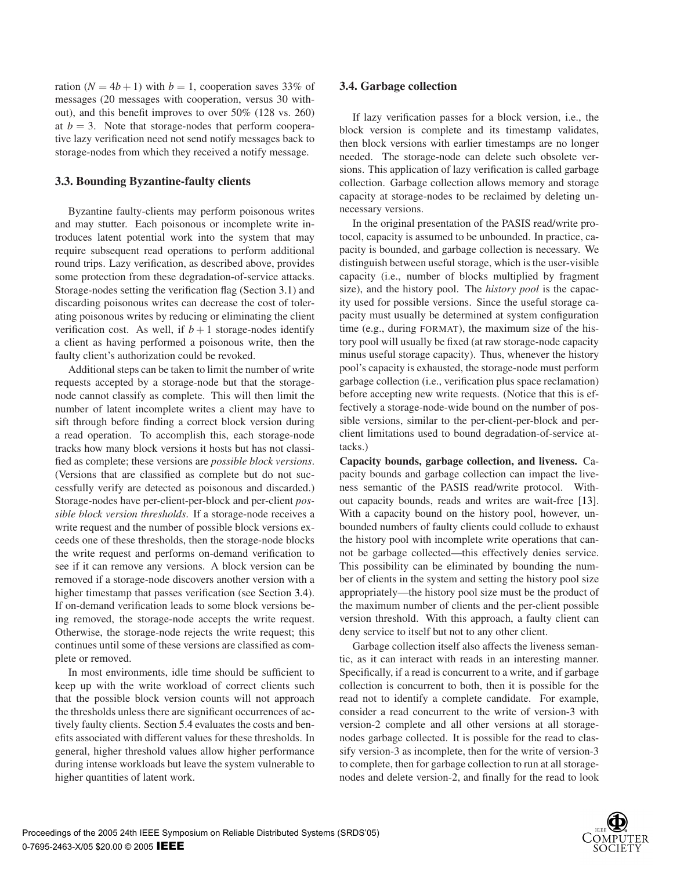ration  $(N = 4b + 1)$  with  $b = 1$ , cooperation saves 33% of messages (20 messages with cooperation, versus 30 without), and this benefit improves to over 50% (128 vs. 260) at  $b = 3$ . Note that storage-nodes that perform cooperative lazy verification need not send notify messages back to storage-nodes from which they received a notify message.

### **3.3. Bounding Byzantine-faulty clients**

Byzantine faulty-clients may perform poisonous writes and may stutter. Each poisonous or incomplete write introduces latent potential work into the system that may require subsequent read operations to perform additional round trips. Lazy verification, as described above, provides some protection from these degradation-of-service attacks. Storage-nodes setting the verification flag (Section 3.1) and discarding poisonous writes can decrease the cost of tolerating poisonous writes by reducing or eliminating the client verification cost. As well, if  $b + 1$  storage-nodes identify a client as having performed a poisonous write, then the faulty client's authorization could be revoked.

Additional steps can be taken to limit the number of write requests accepted by a storage-node but that the storagenode cannot classify as complete. This will then limit the number of latent incomplete writes a client may have to sift through before finding a correct block version during a read operation. To accomplish this, each storage-node tracks how many block versions it hosts but has not classified as complete; these versions are *possible block versions*. (Versions that are classified as complete but do not successfully verify are detected as poisonous and discarded.) Storage-nodes have per-client-per-block and per-client *possible block version thresholds*. If a storage-node receives a write request and the number of possible block versions exceeds one of these thresholds, then the storage-node blocks the write request and performs on-demand verification to see if it can remove any versions. A block version can be removed if a storage-node discovers another version with a higher timestamp that passes verification (see Section 3.4). If on-demand verification leads to some block versions being removed, the storage-node accepts the write request. Otherwise, the storage-node rejects the write request; this continues until some of these versions are classified as complete or removed.

In most environments, idle time should be sufficient to keep up with the write workload of correct clients such that the possible block version counts will not approach the thresholds unless there are significant occurrences of actively faulty clients. Section 5.4 evaluates the costs and benefits associated with different values for these thresholds. In general, higher threshold values allow higher performance during intense workloads but leave the system vulnerable to higher quantities of latent work.

### **3.4. Garbage collection**

If lazy verification passes for a block version, i.e., the block version is complete and its timestamp validates, then block versions with earlier timestamps are no longer needed. The storage-node can delete such obsolete versions. This application of lazy verification is called garbage collection. Garbage collection allows memory and storage capacity at storage-nodes to be reclaimed by deleting unnecessary versions.

In the original presentation of the PASIS read/write protocol, capacity is assumed to be unbounded. In practice, capacity is bounded, and garbage collection is necessary. We distinguish between useful storage, which is the user-visible capacity (i.e., number of blocks multiplied by fragment size), and the history pool. The *history pool* is the capacity used for possible versions. Since the useful storage capacity must usually be determined at system configuration time (e.g., during FORMAT), the maximum size of the history pool will usually be fixed (at raw storage-node capacity minus useful storage capacity). Thus, whenever the history pool's capacity is exhausted, the storage-node must perform garbage collection (i.e., verification plus space reclamation) before accepting new write requests. (Notice that this is effectively a storage-node-wide bound on the number of possible versions, similar to the per-client-per-block and perclient limitations used to bound degradation-of-service attacks.)

**Capacity bounds, garbage collection, and liveness.** Capacity bounds and garbage collection can impact the liveness semantic of the PASIS read/write protocol. Without capacity bounds, reads and writes are wait-free [13]. With a capacity bound on the history pool, however, unbounded numbers of faulty clients could collude to exhaust the history pool with incomplete write operations that cannot be garbage collected—this effectively denies service. This possibility can be eliminated by bounding the number of clients in the system and setting the history pool size appropriately—the history pool size must be the product of the maximum number of clients and the per-client possible version threshold. With this approach, a faulty client can deny service to itself but not to any other client.

Garbage collection itself also affects the liveness semantic, as it can interact with reads in an interesting manner. Specifically, if a read is concurrent to a write, and if garbage collection is concurrent to both, then it is possible for the read not to identify a complete candidate. For example, consider a read concurrent to the write of version-3 with version-2 complete and all other versions at all storagenodes garbage collected. It is possible for the read to classify version-3 as incomplete, then for the write of version-3 to complete, then for garbage collection to run at all storagenodes and delete version-2, and finally for the read to look

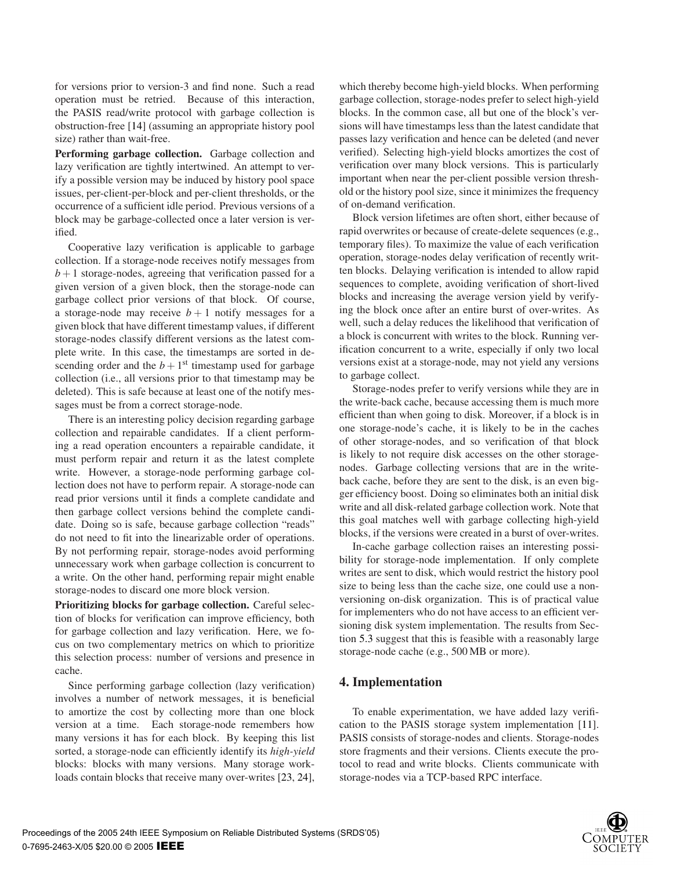for versions prior to version-3 and find none. Such a read operation must be retried. Because of this interaction, the PASIS read/write protocol with garbage collection is obstruction-free [14] (assuming an appropriate history pool size) rather than wait-free.

**Performing garbage collection.** Garbage collection and lazy verification are tightly intertwined. An attempt to verify a possible version may be induced by history pool space issues, per-client-per-block and per-client thresholds, or the occurrence of a sufficient idle period. Previous versions of a block may be garbage-collected once a later version is verified.

Cooperative lazy verification is applicable to garbage collection. If a storage-node receives notify messages from  $b+1$  storage-nodes, agreeing that verification passed for a given version of a given block, then the storage-node can garbage collect prior versions of that block. Of course, a storage-node may receive  $b + 1$  notify messages for a given block that have different timestamp values, if different storage-nodes classify different versions as the latest complete write. In this case, the timestamps are sorted in descending order and the  $b + 1$ <sup>st</sup> timestamp used for garbage collection (i.e., all versions prior to that timestamp may be deleted). This is safe because at least one of the notify messages must be from a correct storage-node.

There is an interesting policy decision regarding garbage collection and repairable candidates. If a client performing a read operation encounters a repairable candidate, it must perform repair and return it as the latest complete write. However, a storage-node performing garbage collection does not have to perform repair. A storage-node can read prior versions until it finds a complete candidate and then garbage collect versions behind the complete candidate. Doing so is safe, because garbage collection "reads" do not need to fit into the linearizable order of operations. By not performing repair, storage-nodes avoid performing unnecessary work when garbage collection is concurrent to a write. On the other hand, performing repair might enable storage-nodes to discard one more block version.

**Prioritizing blocks for garbage collection.** Careful selection of blocks for verification can improve efficiency, both for garbage collection and lazy verification. Here, we focus on two complementary metrics on which to prioritize this selection process: number of versions and presence in cache.

Since performing garbage collection (lazy verification) involves a number of network messages, it is beneficial to amortize the cost by collecting more than one block version at a time. Each storage-node remembers how many versions it has for each block. By keeping this list sorted, a storage-node can efficiently identify its *high-yield* blocks: blocks with many versions. Many storage workloads contain blocks that receive many over-writes [23, 24],

which thereby become high-yield blocks. When performing garbage collection, storage-nodes prefer to select high-yield blocks. In the common case, all but one of the block's versions will have timestamps less than the latest candidate that passes lazy verification and hence can be deleted (and never verified). Selecting high-yield blocks amortizes the cost of verification over many block versions. This is particularly important when near the per-client possible version threshold or the history pool size, since it minimizes the frequency of on-demand verification.

Block version lifetimes are often short, either because of rapid overwrites or because of create-delete sequences (e.g., temporary files). To maximize the value of each verification operation, storage-nodes delay verification of recently written blocks. Delaying verification is intended to allow rapid sequences to complete, avoiding verification of short-lived blocks and increasing the average version yield by verifying the block once after an entire burst of over-writes. As well, such a delay reduces the likelihood that verification of a block is concurrent with writes to the block. Running verification concurrent to a write, especially if only two local versions exist at a storage-node, may not yield any versions to garbage collect.

Storage-nodes prefer to verify versions while they are in the write-back cache, because accessing them is much more efficient than when going to disk. Moreover, if a block is in one storage-node's cache, it is likely to be in the caches of other storage-nodes, and so verification of that block is likely to not require disk accesses on the other storagenodes. Garbage collecting versions that are in the writeback cache, before they are sent to the disk, is an even bigger efficiency boost. Doing so eliminates both an initial disk write and all disk-related garbage collection work. Note that this goal matches well with garbage collecting high-yield blocks, if the versions were created in a burst of over-writes.

In-cache garbage collection raises an interesting possibility for storage-node implementation. If only complete writes are sent to disk, which would restrict the history pool size to being less than the cache size, one could use a nonversioning on-disk organization. This is of practical value for implementers who do not have access to an efficient versioning disk system implementation. The results from Section 5.3 suggest that this is feasible with a reasonably large storage-node cache (e.g., 500 MB or more).

# **4. Implementation**

To enable experimentation, we have added lazy verification to the PASIS storage system implementation [11]. PASIS consists of storage-nodes and clients. Storage-nodes store fragments and their versions. Clients execute the protocol to read and write blocks. Clients communicate with storage-nodes via a TCP-based RPC interface.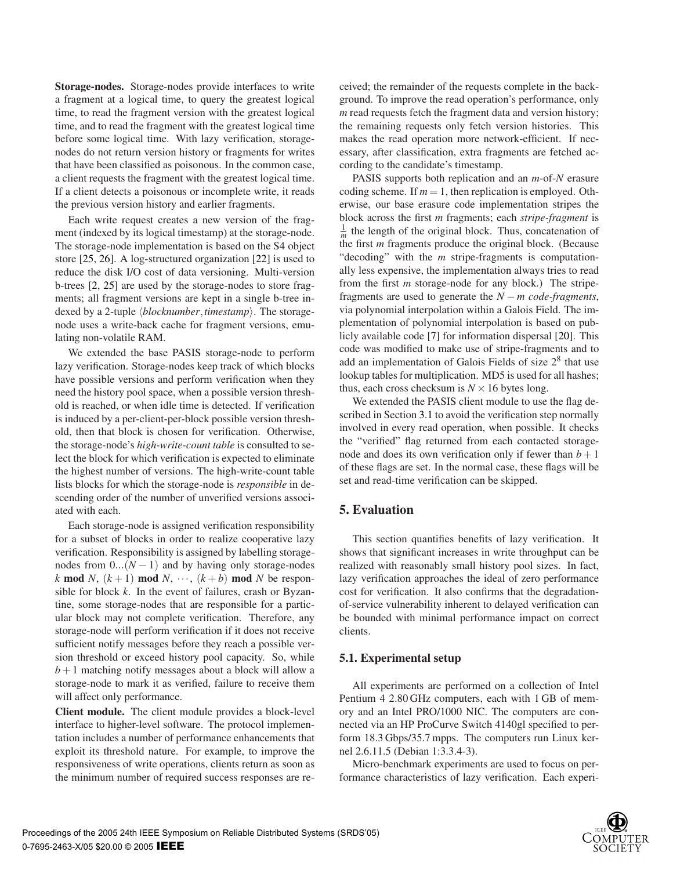**Storage-nodes.** Storage-nodes provide interfaces to write a fragment at a logical time, to query the greatest logical time, to read the fragment version with the greatest logical time, and to read the fragment with the greatest logical time before some logical time. With lazy verification, storagenodes do not return version history or fragments for writes that have been classified as poisonous. In the common case, a client requests the fragment with the greatest logical time. If a client detects a poisonous or incomplete write, it reads the previous version history and earlier fragments.

Each write request creates a new version of the fragment (indexed by its logical timestamp) at the storage-node. The storage-node implementation is based on the S4 object store [25, 26]. A log-structured organization [22] is used to reduce the disk I/O cost of data versioning. Multi-version b-trees [2, 25] are used by the storage-nodes to store fragments; all fragment versions are kept in a single b-tree indexed by a 2-tuple *blocknumber*,*timestamp*. The storagenode uses a write-back cache for fragment versions, emulating non-volatile RAM.

We extended the base PASIS storage-node to perform lazy verification. Storage-nodes keep track of which blocks have possible versions and perform verification when they need the history pool space, when a possible version threshold is reached, or when idle time is detected. If verification is induced by a per-client-per-block possible version threshold, then that block is chosen for verification. Otherwise, the storage-node's *high-write-count table* is consulted to select the block for which verification is expected to eliminate the highest number of versions. The high-write-count table lists blocks for which the storage-node is *responsible* in descending order of the number of unverified versions associated with each.

Each storage-node is assigned verification responsibility for a subset of blocks in order to realize cooperative lazy verification. Responsibility is assigned by labelling storagenodes from  $0...(N-1)$  and by having only storage-nodes *k* **mod** *N*,  $(k+1)$  **mod** *N*,  $\cdots$ ,  $(k+b)$  **mod** *N* be responsible for block *k*. In the event of failures, crash or Byzantine, some storage-nodes that are responsible for a particular block may not complete verification. Therefore, any storage-node will perform verification if it does not receive sufficient notify messages before they reach a possible version threshold or exceed history pool capacity. So, while  $b+1$  matching notify messages about a block will allow a storage-node to mark it as verified, failure to receive them will affect only performance.

**Client module.** The client module provides a block-level interface to higher-level software. The protocol implementation includes a number of performance enhancements that exploit its threshold nature. For example, to improve the responsiveness of write operations, clients return as soon as the minimum number of required success responses are received; the remainder of the requests complete in the background. To improve the read operation's performance, only *m* read requests fetch the fragment data and version history; the remaining requests only fetch version histories. This makes the read operation more network-efficient. If necessary, after classification, extra fragments are fetched according to the candidate's timestamp.

PASIS supports both replication and an *m*-of-*N* erasure coding scheme. If  $m = 1$ , then replication is employed. Otherwise, our base erasure code implementation stripes the block across the first *m* fragments; each *stripe-fragment* is  $\frac{1}{m}$  the length of the original block. Thus, concatenation of the first *m* fragments produce the original block. (Because "decoding" with the *m* stripe-fragments is computationally less expensive, the implementation always tries to read from the first *m* storage-node for any block.) The stripefragments are used to generate the *N* − *m code-fragments*, via polynomial interpolation within a Galois Field. The implementation of polynomial interpolation is based on publicly available code [7] for information dispersal [20]. This code was modified to make use of stripe-fragments and to add an implementation of Galois Fields of size  $2<sup>8</sup>$  that use lookup tables for multiplication. MD5 is used for all hashes; thus, each cross checksum is  $N \times 16$  bytes long.

We extended the PASIS client module to use the flag described in Section 3.1 to avoid the verification step normally involved in every read operation, when possible. It checks the "verified" flag returned from each contacted storagenode and does its own verification only if fewer than  $b+1$ of these flags are set. In the normal case, these flags will be set and read-time verification can be skipped.

# **5. Evaluation**

This section quantifies benefits of lazy verification. It shows that significant increases in write throughput can be realized with reasonably small history pool sizes. In fact, lazy verification approaches the ideal of zero performance cost for verification. It also confirms that the degradationof-service vulnerability inherent to delayed verification can be bounded with minimal performance impact on correct clients.

#### **5.1. Experimental setup**

All experiments are performed on a collection of Intel Pentium 4 2.80 GHz computers, each with 1 GB of memory and an Intel PRO/1000 NIC. The computers are connected via an HP ProCurve Switch 4140gl specified to perform 18.3 Gbps/35.7 mpps. The computers run Linux kernel 2.6.11.5 (Debian 1:3.3.4-3).

Micro-benchmark experiments are used to focus on performance characteristics of lazy verification. Each experi-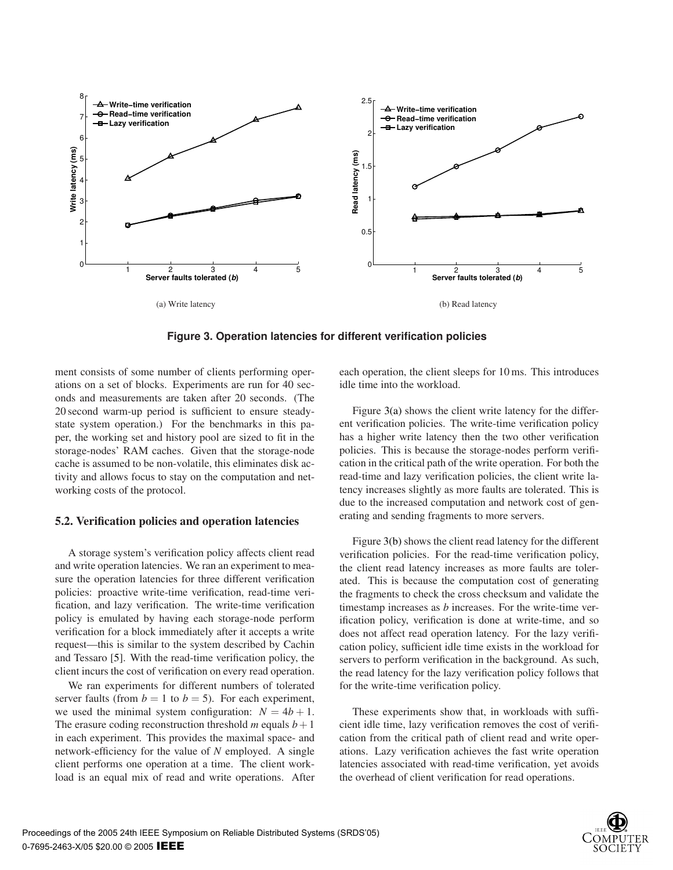

**Figure 3. Operation latencies for different verification policies**

ment consists of some number of clients performing operations on a set of blocks. Experiments are run for 40 seconds and measurements are taken after 20 seconds. (The 20 second warm-up period is sufficient to ensure steadystate system operation.) For the benchmarks in this paper, the working set and history pool are sized to fit in the storage-nodes' RAM caches. Given that the storage-node cache is assumed to be non-volatile, this eliminates disk activity and allows focus to stay on the computation and networking costs of the protocol.

### **5.2. Verification policies and operation latencies**

A storage system's verification policy affects client read and write operation latencies. We ran an experiment to measure the operation latencies for three different verification policies: proactive write-time verification, read-time verification, and lazy verification. The write-time verification policy is emulated by having each storage-node perform verification for a block immediately after it accepts a write request—this is similar to the system described by Cachin and Tessaro [5]. With the read-time verification policy, the client incurs the cost of verification on every read operation.

We ran experiments for different numbers of tolerated server faults (from  $b = 1$  to  $b = 5$ ). For each experiment, we used the minimal system configuration:  $N = 4b + 1$ . The erasure coding reconstruction threshold *m* equals  $b+1$ in each experiment. This provides the maximal space- and network-efficiency for the value of *N* employed. A single client performs one operation at a time. The client workload is an equal mix of read and write operations. After each operation, the client sleeps for 10 ms. This introduces idle time into the workload.

Figure 3(a) shows the client write latency for the different verification policies. The write-time verification policy has a higher write latency then the two other verification policies. This is because the storage-nodes perform verification in the critical path of the write operation. For both the read-time and lazy verification policies, the client write latency increases slightly as more faults are tolerated. This is due to the increased computation and network cost of generating and sending fragments to more servers.

Figure 3(b) shows the client read latency for the different verification policies. For the read-time verification policy, the client read latency increases as more faults are tolerated. This is because the computation cost of generating the fragments to check the cross checksum and validate the timestamp increases as *b* increases. For the write-time verification policy, verification is done at write-time, and so does not affect read operation latency. For the lazy verification policy, sufficient idle time exists in the workload for servers to perform verification in the background. As such, the read latency for the lazy verification policy follows that for the write-time verification policy.

These experiments show that, in workloads with sufficient idle time, lazy verification removes the cost of verification from the critical path of client read and write operations. Lazy verification achieves the fast write operation latencies associated with read-time verification, yet avoids the overhead of client verification for read operations.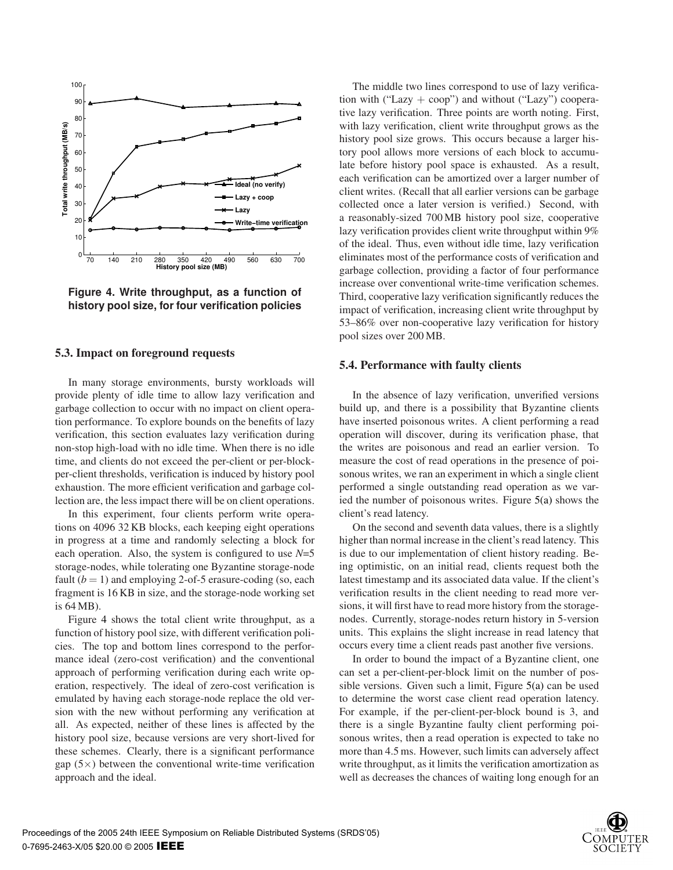

**Figure 4. Write throughput, as a function of history pool size, for four verification policies**

#### **5.3. Impact on foreground requests**

In many storage environments, bursty workloads will provide plenty of idle time to allow lazy verification and garbage collection to occur with no impact on client operation performance. To explore bounds on the benefits of lazy verification, this section evaluates lazy verification during non-stop high-load with no idle time. When there is no idle time, and clients do not exceed the per-client or per-blockper-client thresholds, verification is induced by history pool exhaustion. The more efficient verification and garbage collection are, the less impact there will be on client operations.

In this experiment, four clients perform write operations on 4096 32 KB blocks, each keeping eight operations in progress at a time and randomly selecting a block for each operation. Also, the system is configured to use  $N=5$ storage-nodes, while tolerating one Byzantine storage-node fault  $(b = 1)$  and employing 2-of-5 erasure-coding (so, each fragment is 16 KB in size, and the storage-node working set is 64 MB).

Figure 4 shows the total client write throughput, as a function of history pool size, with different verification policies. The top and bottom lines correspond to the performance ideal (zero-cost verification) and the conventional approach of performing verification during each write operation, respectively. The ideal of zero-cost verification is emulated by having each storage-node replace the old version with the new without performing any verification at all. As expected, neither of these lines is affected by the history pool size, because versions are very short-lived for these schemes. Clearly, there is a significant performance gap  $(5\times)$  between the conventional write-time verification approach and the ideal.

The middle two lines correspond to use of lazy verification with ("Lazy + coop") and without ("Lazy") cooperative lazy verification. Three points are worth noting. First, with lazy verification, client write throughput grows as the history pool size grows. This occurs because a larger history pool allows more versions of each block to accumulate before history pool space is exhausted. As a result, each verification can be amortized over a larger number of client writes. (Recall that all earlier versions can be garbage collected once a later version is verified.) Second, with a reasonably-sized 700 MB history pool size, cooperative lazy verification provides client write throughput within 9% of the ideal. Thus, even without idle time, lazy verification eliminates most of the performance costs of verification and garbage collection, providing a factor of four performance increase over conventional write-time verification schemes. Third, cooperative lazy verification significantly reduces the impact of verification, increasing client write throughput by 53–86% over non-cooperative lazy verification for history pool sizes over 200 MB.

#### **5.4. Performance with faulty clients**

In the absence of lazy verification, unverified versions build up, and there is a possibility that Byzantine clients have inserted poisonous writes. A client performing a read operation will discover, during its verification phase, that the writes are poisonous and read an earlier version. To measure the cost of read operations in the presence of poisonous writes, we ran an experiment in which a single client performed a single outstanding read operation as we varied the number of poisonous writes. Figure 5(a) shows the client's read latency.

On the second and seventh data values, there is a slightly higher than normal increase in the client's read latency. This is due to our implementation of client history reading. Being optimistic, on an initial read, clients request both the latest timestamp and its associated data value. If the client's verification results in the client needing to read more versions, it will first have to read more history from the storagenodes. Currently, storage-nodes return history in 5-version units. This explains the slight increase in read latency that occurs every time a client reads past another five versions.

In order to bound the impact of a Byzantine client, one can set a per-client-per-block limit on the number of possible versions. Given such a limit, Figure 5(a) can be used to determine the worst case client read operation latency. For example, if the per-client-per-block bound is 3, and there is a single Byzantine faulty client performing poisonous writes, then a read operation is expected to take no more than 4.5 ms. However, such limits can adversely affect write throughput, as it limits the verification amortization as well as decreases the chances of waiting long enough for an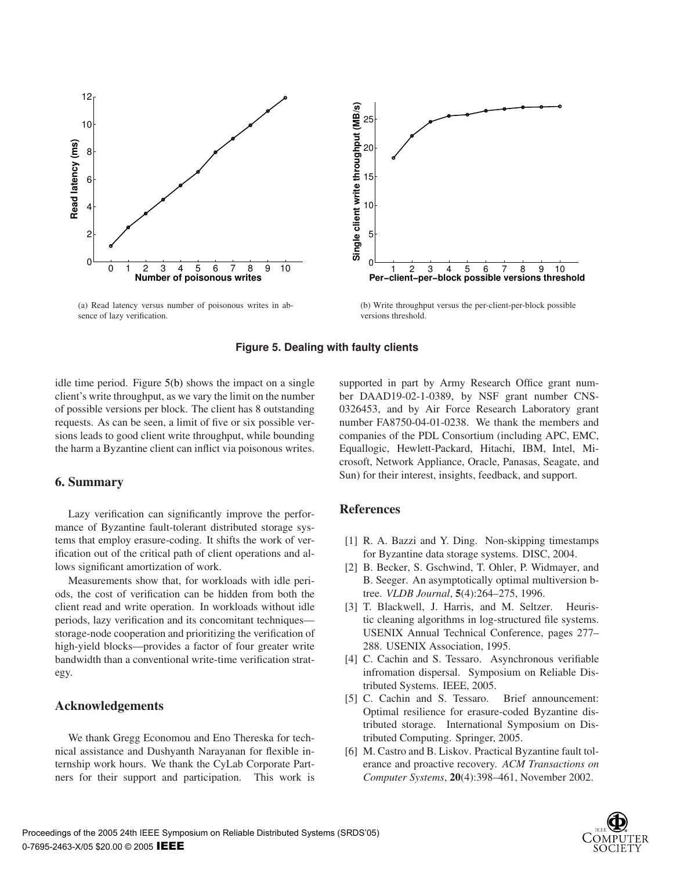

(a) Read latency versus number of poisonous writes in absence of lazy verification.



(b) Write throughput versus the per-client-per-block possible versions threshold.

### **Figure 5. Dealing with faulty clients**

idle time period. Figure 5(b) shows the impact on a single client's write throughput, as we vary the limit on the number of possible versions per block. The client has 8 outstanding requests. As can be seen, a limit of five or six possible versions leads to good client write throughput, while bounding the harm a Byzantine client can inflict via poisonous writes.

# **6. Summary**

Lazy verification can significantly improve the performance of Byzantine fault-tolerant distributed storage systems that employ erasure-coding. It shifts the work of verification out of the critical path of client operations and allows significant amortization of work.

Measurements show that, for workloads with idle periods, the cost of verification can be hidden from both the client read and write operation. In workloads without idle periods, lazy verification and its concomitant techniques storage-node cooperation and prioritizing the verification of high-yield blocks—provides a factor of four greater write bandwidth than a conventional write-time verification strategy.

# **Acknowledgements**

We thank Gregg Economou and Eno Thereska for technical assistance and Dushyanth Narayanan for flexible internship work hours. We thank the CyLab Corporate Partners for their support and participation. This work is supported in part by Army Research Office grant number DAAD19-02-1-0389, by NSF grant number CNS-0326453, and by Air Force Research Laboratory grant number FA8750-04-01-0238. We thank the members and companies of the PDL Consortium (including APC, EMC, Equallogic, Hewlett-Packard, Hitachi, IBM, Intel, Microsoft, Network Appliance, Oracle, Panasas, Seagate, and Sun) for their interest, insights, feedback, and support.

# **References**

- [1] R. A. Bazzi and Y. Ding. Non-skipping timestamps for Byzantine data storage systems. DISC, 2004.
- [2] B. Becker, S. Gschwind, T. Ohler, P. Widmayer, and B. Seeger. An asymptotically optimal multiversion btree. *VLDB Journal*, **5**(4):264–275, 1996.
- [3] T. Blackwell, J. Harris, and M. Seltzer. Heuristic cleaning algorithms in log-structured file systems. USENIX Annual Technical Conference, pages 277– 288. USENIX Association, 1995.
- [4] C. Cachin and S. Tessaro. Asynchronous verifiable infromation dispersal. Symposium on Reliable Distributed Systems. IEEE, 2005.
- [5] C. Cachin and S. Tessaro. Brief announcement: Optimal resilience for erasure-coded Byzantine distributed storage. International Symposium on Distributed Computing. Springer, 2005.
- [6] M. Castro and B. Liskov. Practical Byzantine fault tolerance and proactive recovery. *ACM Transactions on Computer Systems*, **20**(4):398–461, November 2002.